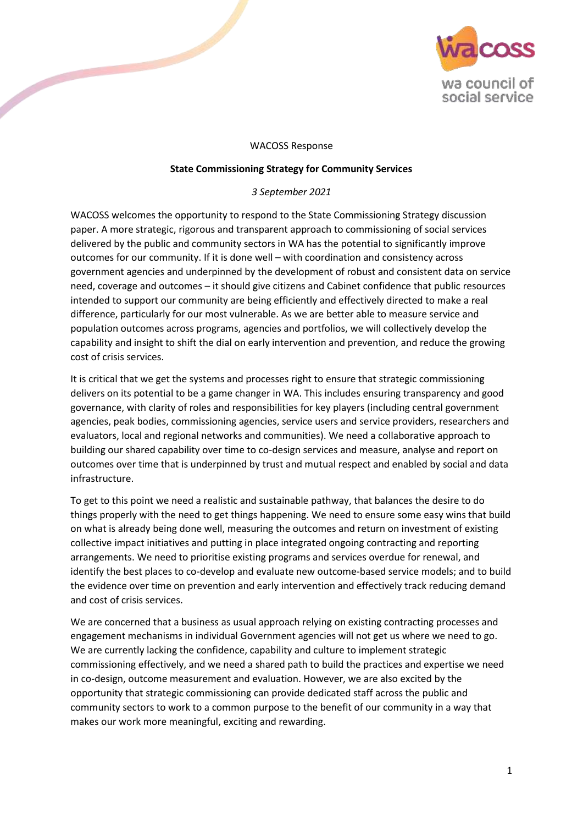

### WACOSS Response

#### **State Commissioning Strategy for Community Services**

### *3 September 2021*

WACOSS welcomes the opportunity to respond to the State Commissioning Strategy discussion paper. A more strategic, rigorous and transparent approach to commissioning of social services delivered by the public and community sectors in WA has the potential to significantly improve outcomes for our community. If it is done well – with coordination and consistency across government agencies and underpinned by the development of robust and consistent data on service need, coverage and outcomes – it should give citizens and Cabinet confidence that public resources intended to support our community are being efficiently and effectively directed to make a real difference, particularly for our most vulnerable. As we are better able to measure service and population outcomes across programs, agencies and portfolios, we will collectively develop the capability and insight to shift the dial on early intervention and prevention, and reduce the growing cost of crisis services.

It is critical that we get the systems and processes right to ensure that strategic commissioning delivers on its potential to be a game changer in WA. This includes ensuring transparency and good governance, with clarity of roles and responsibilities for key players (including central government agencies, peak bodies, commissioning agencies, service users and service providers, researchers and evaluators, local and regional networks and communities). We need a collaborative approach to building our shared capability over time to co-design services and measure, analyse and report on outcomes over time that is underpinned by trust and mutual respect and enabled by social and data infrastructure.

To get to this point we need a realistic and sustainable pathway, that balances the desire to do things properly with the need to get things happening. We need to ensure some easy wins that build on what is already being done well, measuring the outcomes and return on investment of existing collective impact initiatives and putting in place integrated ongoing contracting and reporting arrangements. We need to prioritise existing programs and services overdue for renewal, and identify the best places to co-develop and evaluate new outcome-based service models; and to build the evidence over time on prevention and early intervention and effectively track reducing demand and cost of crisis services.

We are concerned that a business as usual approach relying on existing contracting processes and engagement mechanisms in individual Government agencies will not get us where we need to go. We are currently lacking the confidence, capability and culture to implement strategic commissioning effectively, and we need a shared path to build the practices and expertise we need in co-design, outcome measurement and evaluation. However, we are also excited by the opportunity that strategic commissioning can provide dedicated staff across the public and community sectors to work to a common purpose to the benefit of our community in a way that makes our work more meaningful, exciting and rewarding.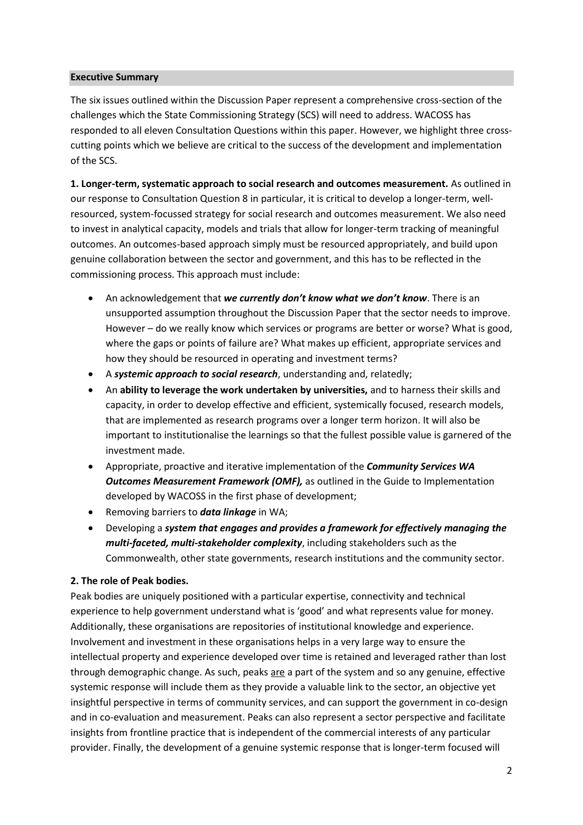#### **Executive Summary**

The six issues outlined within the Discussion Paper represent a comprehensive cross-section of the challenges which the State Commissioning Strategy (SCS) will need to address. WACOSS has responded to all eleven Consultation Questions within this paper. However, we highlight three crosscutting points which we believe are critical to the success of the development and implementation of the SCS.

**1. Longer-term, systematic approach to social research and outcomes measurement.** As outlined in our response to Consultation Question 8 in particular, it is critical to develop a longer-term, wellresourced, system-focussed strategy for social research and outcomes measurement. We also need to invest in analytical capacity, models and trials that allow for longer-term tracking of meaningful outcomes. An outcomes-based approach simply must be resourced appropriately, and build upon genuine collaboration between the sector and government, and this has to be reflected in the commissioning process. This approach must include:

- An acknowledgement that *we currently don't know what we don't know*. There is an unsupported assumption throughout the Discussion Paper that the sector needs to improve. However – do we really know which services or programs are better or worse? What is good, where the gaps or points of failure are? What makes up efficient, appropriate services and how they should be resourced in operating and investment terms?
- A *systemic approach to social research*, understanding and, relatedly;
- An **ability to leverage the work undertaken by universities,** and to harness their skills and capacity, in order to develop effective and efficient, systemically focused, research models, that are implemented as research programs over a longer term horizon. It will also be important to institutionalise the learnings so that the fullest possible value is garnered of the investment made.
- Appropriate, proactive and iterative implementation of the *Community Services WA Outcomes Measurement Framework (OMF),* as outlined in the Guide to Implementation developed by WACOSS in the first phase of development;
- Removing barriers to *data linkage* in WA;
- Developing a *system that engages and provides a framework for effectively managing the multi-faceted, multi-stakeholder complexity*, including stakeholders such as the Commonwealth, other state governments, research institutions and the community sector.

#### **2. The role of Peak bodies.**

Peak bodies are uniquely positioned with a particular expertise, connectivity and technical experience to help government understand what is 'good' and what represents value for money. Additionally, these organisations are repositories of institutional knowledge and experience. Involvement and investment in these organisations helps in a very large way to ensure the intellectual property and experience developed over time is retained and leveraged rather than lost through demographic change. As such, peaks are a part of the system and so any genuine, effective systemic response will include them as they provide a valuable link to the sector, an objective yet insightful perspective in terms of community services, and can support the government in co-design and in co-evaluation and measurement. Peaks can also represent a sector perspective and facilitate insights from frontline practice that is independent of the commercial interests of any particular provider. Finally, the development of a genuine systemic response that is longer-term focused will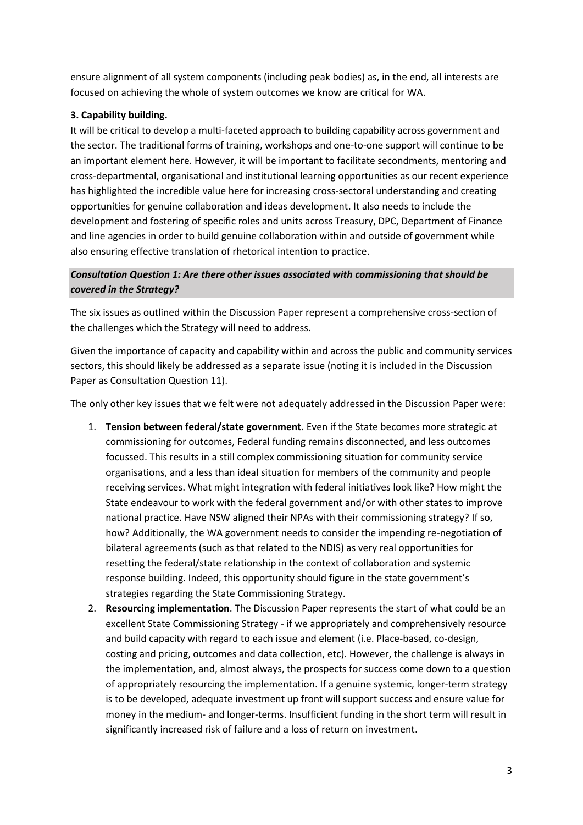ensure alignment of all system components (including peak bodies) as, in the end, all interests are focused on achieving the whole of system outcomes we know are critical for WA.

### **3. Capability building.**

It will be critical to develop a multi-faceted approach to building capability across government and the sector. The traditional forms of training, workshops and one-to-one support will continue to be an important element here. However, it will be important to facilitate secondments, mentoring and cross-departmental, organisational and institutional learning opportunities as our recent experience has highlighted the incredible value here for increasing cross-sectoral understanding and creating opportunities for genuine collaboration and ideas development. It also needs to include the development and fostering of specific roles and units across Treasury, DPC, Department of Finance and line agencies in order to build genuine collaboration within and outside of government while also ensuring effective translation of rhetorical intention to practice.

## *Consultation Question 1: Are there other issues associated with commissioning that should be covered in the Strategy?*

The six issues as outlined within the Discussion Paper represent a comprehensive cross-section of the challenges which the Strategy will need to address.

Given the importance of capacity and capability within and across the public and community services sectors, this should likely be addressed as a separate issue (noting it is included in the Discussion Paper as Consultation Question 11).

The only other key issues that we felt were not adequately addressed in the Discussion Paper were:

- 1. **Tension between federal/state government**. Even if the State becomes more strategic at commissioning for outcomes, Federal funding remains disconnected, and less outcomes focussed. This results in a still complex commissioning situation for community service organisations, and a less than ideal situation for members of the community and people receiving services. What might integration with federal initiatives look like? How might the State endeavour to work with the federal government and/or with other states to improve national practice. Have NSW aligned their NPAs with their commissioning strategy? If so, how? Additionally, the WA government needs to consider the impending re-negotiation of bilateral agreements (such as that related to the NDIS) as very real opportunities for resetting the federal/state relationship in the context of collaboration and systemic response building. Indeed, this opportunity should figure in the state government's strategies regarding the State Commissioning Strategy.
- 2. **Resourcing implementation**. The Discussion Paper represents the start of what could be an excellent State Commissioning Strategy - if we appropriately and comprehensively resource and build capacity with regard to each issue and element (i.e. Place-based, co-design, costing and pricing, outcomes and data collection, etc). However, the challenge is always in the implementation, and, almost always, the prospects for success come down to a question of appropriately resourcing the implementation. If a genuine systemic, longer-term strategy is to be developed, adequate investment up front will support success and ensure value for money in the medium- and longer-terms. Insufficient funding in the short term will result in significantly increased risk of failure and a loss of return on investment.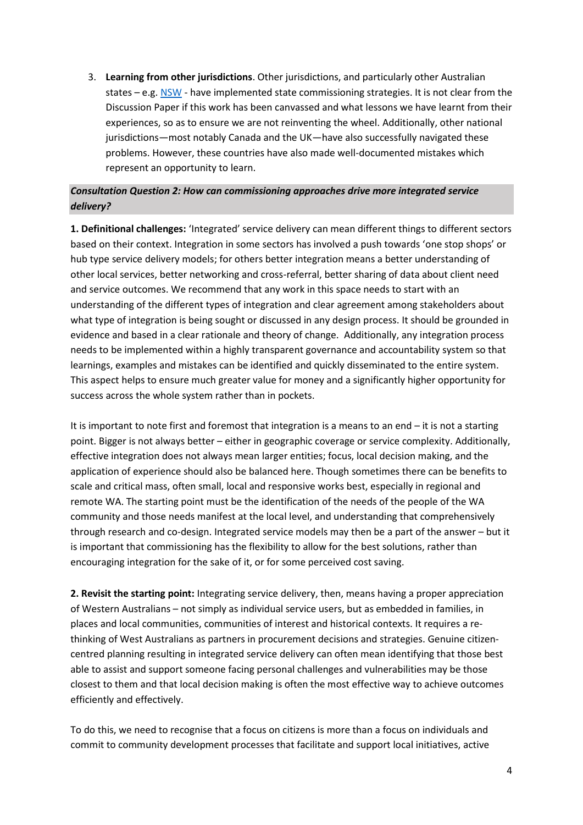3. **Learning from other jurisdictions**. Other jurisdictions, and particularly other Australian states – e.g. [NSW](https://www.treasury.nsw.gov.au/projects-initiatives/commissioning-nsw) - have implemented state commissioning strategies. It is not clear from the Discussion Paper if this work has been canvassed and what lessons we have learnt from their experiences, so as to ensure we are not reinventing the wheel. Additionally, other national jurisdictions—most notably Canada and the UK—have also successfully navigated these problems. However, these countries have also made well-documented mistakes which represent an opportunity to learn.

## *Consultation Question 2: How can commissioning approaches drive more integrated service delivery?*

**1. Definitional challenges:** 'Integrated' service delivery can mean different things to different sectors based on their context. Integration in some sectors has involved a push towards 'one stop shops' or hub type service delivery models; for others better integration means a better understanding of other local services, better networking and cross-referral, better sharing of data about client need and service outcomes. We recommend that any work in this space needs to start with an understanding of the different types of integration and clear agreement among stakeholders about what type of integration is being sought or discussed in any design process. It should be grounded in evidence and based in a clear rationale and theory of change. Additionally, any integration process needs to be implemented within a highly transparent governance and accountability system so that learnings, examples and mistakes can be identified and quickly disseminated to the entire system. This aspect helps to ensure much greater value for money and a significantly higher opportunity for success across the whole system rather than in pockets.

It is important to note first and foremost that integration is a means to an end – it is not a starting point. Bigger is not always better – either in geographic coverage or service complexity. Additionally, effective integration does not always mean larger entities; focus, local decision making, and the application of experience should also be balanced here. Though sometimes there can be benefits to scale and critical mass, often small, local and responsive works best, especially in regional and remote WA. The starting point must be the identification of the needs of the people of the WA community and those needs manifest at the local level, and understanding that comprehensively through research and co-design. Integrated service models may then be a part of the answer – but it is important that commissioning has the flexibility to allow for the best solutions, rather than encouraging integration for the sake of it, or for some perceived cost saving.

**2. Revisit the starting point:** Integrating service delivery, then, means having a proper appreciation of Western Australians – not simply as individual service users, but as embedded in families, in places and local communities, communities of interest and historical contexts. It requires a rethinking of West Australians as partners in procurement decisions and strategies. Genuine citizencentred planning resulting in integrated service delivery can often mean identifying that those best able to assist and support someone facing personal challenges and vulnerabilities may be those closest to them and that local decision making is often the most effective way to achieve outcomes efficiently and effectively.

To do this, we need to recognise that a focus on citizens is more than a focus on individuals and commit to community development processes that facilitate and support local initiatives, active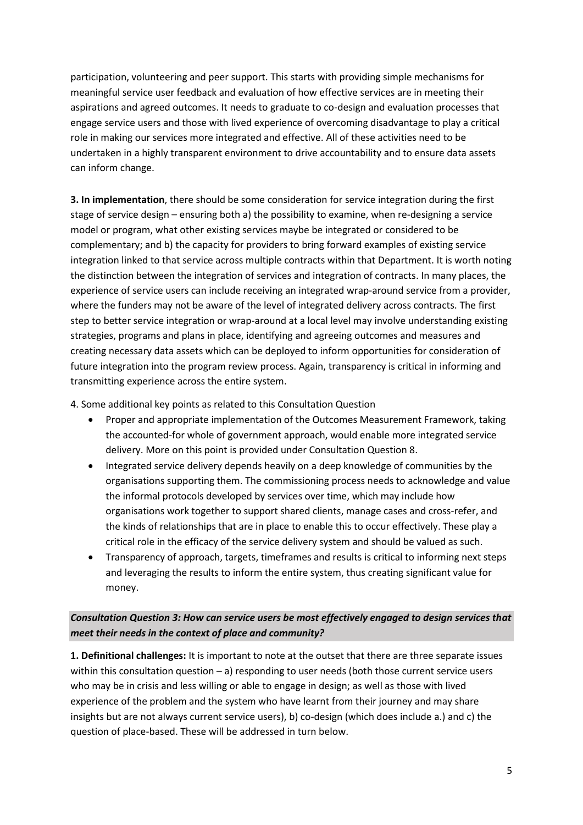participation, volunteering and peer support. This starts with providing simple mechanisms for meaningful service user feedback and evaluation of how effective services are in meeting their aspirations and agreed outcomes. It needs to graduate to co-design and evaluation processes that engage service users and those with lived experience of overcoming disadvantage to play a critical role in making our services more integrated and effective. All of these activities need to be undertaken in a highly transparent environment to drive accountability and to ensure data assets can inform change.

**3. In implementation**, there should be some consideration for service integration during the first stage of service design – ensuring both a) the possibility to examine, when re-designing a service model or program, what other existing services maybe be integrated or considered to be complementary; and b) the capacity for providers to bring forward examples of existing service integration linked to that service across multiple contracts within that Department. It is worth noting the distinction between the integration of services and integration of contracts. In many places, the experience of service users can include receiving an integrated wrap-around service from a provider, where the funders may not be aware of the level of integrated delivery across contracts. The first step to better service integration or wrap-around at a local level may involve understanding existing strategies, programs and plans in place, identifying and agreeing outcomes and measures and creating necessary data assets which can be deployed to inform opportunities for consideration of future integration into the program review process. Again, transparency is critical in informing and transmitting experience across the entire system.

4. Some additional key points as related to this Consultation Question

- Proper and appropriate implementation of the Outcomes Measurement Framework, taking the accounted-for whole of government approach, would enable more integrated service delivery. More on this point is provided under Consultation Question 8.
- Integrated service delivery depends heavily on a deep knowledge of communities by the organisations supporting them. The commissioning process needs to acknowledge and value the informal protocols developed by services over time, which may include how organisations work together to support shared clients, manage cases and cross-refer, and the kinds of relationships that are in place to enable this to occur effectively. These play a critical role in the efficacy of the service delivery system and should be valued as such.
- Transparency of approach, targets, timeframes and results is critical to informing next steps and leveraging the results to inform the entire system, thus creating significant value for money.

*Consultation Question 3: How can service users be most effectively engaged to design services that meet their needs in the context of place and community?*

**1. Definitional challenges:** It is important to note at the outset that there are three separate issues within this consultation question – a) responding to user needs (both those current service users who may be in crisis and less willing or able to engage in design; as well as those with lived experience of the problem and the system who have learnt from their journey and may share insights but are not always current service users), b) co-design (which does include a.) and c) the question of place-based. These will be addressed in turn below.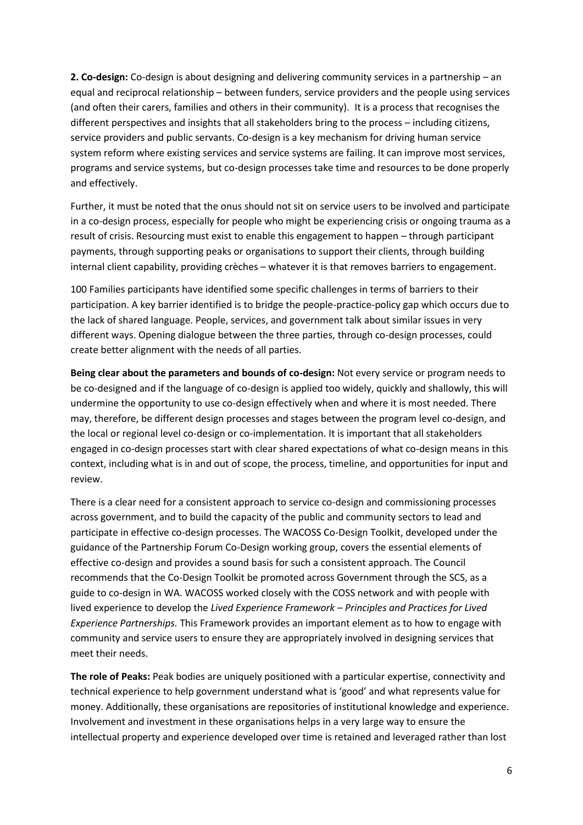**2. Co-design:** Co-design is about designing and delivering community services in a partnership – an equal and reciprocal relationship – between funders, service providers and the people using services (and often their carers, families and others in their community). It is a process that recognises the different perspectives and insights that all stakeholders bring to the process – including citizens, service providers and public servants. Co-design is a key mechanism for driving human service system reform where existing services and service systems are failing. It can improve most services, programs and service systems, but co-design processes take time and resources to be done properly and effectively.

Further, it must be noted that the onus should not sit on service users to be involved and participate in a co-design process, especially for people who might be experiencing crisis or ongoing trauma as a result of crisis. Resourcing must exist to enable this engagement to happen – through participant payments, through supporting peaks or organisations to support their clients, through building internal client capability, providing crèches – whatever it is that removes barriers to engagement.

100 Families participants have identified some specific challenges in terms of barriers to their participation. A key barrier identified is to bridge the people-practice-policy gap which occurs due to the lack of shared language. People, services, and government talk about similar issues in very different ways. Opening dialogue between the three parties, through co-design processes, could create better alignment with the needs of all parties.

**Being clear about the parameters and bounds of co-design:** Not every service or program needs to be co-designed and if the language of co-design is applied too widely, quickly and shallowly, this will undermine the opportunity to use co-design effectively when and where it is most needed. There may, therefore, be different design processes and stages between the program level co-design, and the local or regional level co-design or co-implementation. It is important that all stakeholders engaged in co-design processes start with clear shared expectations of what co-design means in this context, including what is in and out of scope, the process, timeline, and opportunities for input and review.

There is a clear need for a consistent approach to service co-design and commissioning processes across government, and to build the capacity of the public and community sectors to lead and participate in effective co-design processes. The WACOSS Co-Design Toolkit, developed under the guidance of the Partnership Forum Co-Design working group, covers the essential elements of effective co-design and provides a sound basis for such a consistent approach. The Council recommends that the Co-Design Toolkit be promoted across Government through the SCS, as a guide to co-design in WA. WACOSS worked closely with the COSS network and with people with lived experience to develop the *Lived Experience Framework – Principles and Practices for Lived Experience Partnerships.* This Framework provides an important element as to how to engage with community and service users to ensure they are appropriately involved in designing services that meet their needs.

**The role of Peaks:** Peak bodies are uniquely positioned with a particular expertise, connectivity and technical experience to help government understand what is 'good' and what represents value for money. Additionally, these organisations are repositories of institutional knowledge and experience. Involvement and investment in these organisations helps in a very large way to ensure the intellectual property and experience developed over time is retained and leveraged rather than lost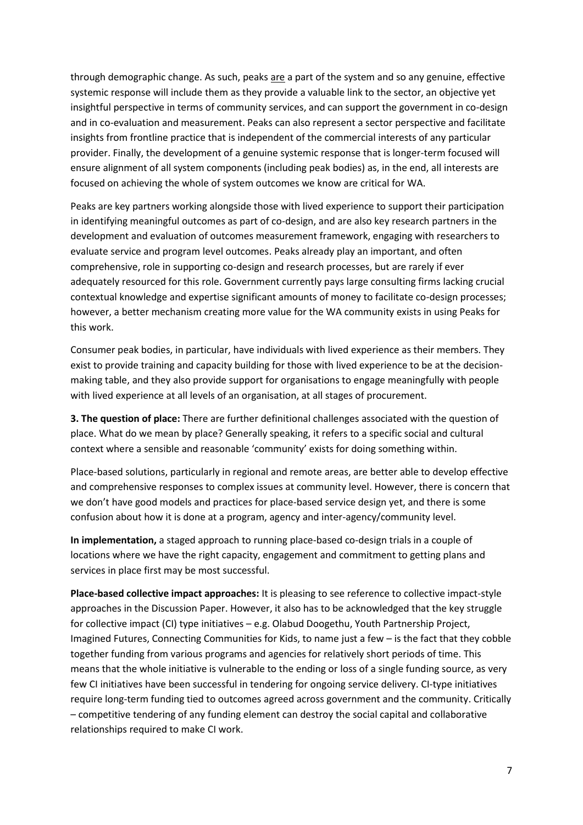through demographic change. As such, peaks are a part of the system and so any genuine, effective systemic response will include them as they provide a valuable link to the sector, an objective yet insightful perspective in terms of community services, and can support the government in co-design and in co-evaluation and measurement. Peaks can also represent a sector perspective and facilitate insights from frontline practice that is independent of the commercial interests of any particular provider. Finally, the development of a genuine systemic response that is longer-term focused will ensure alignment of all system components (including peak bodies) as, in the end, all interests are focused on achieving the whole of system outcomes we know are critical for WA.

Peaks are key partners working alongside those with lived experience to support their participation in identifying meaningful outcomes as part of co-design, and are also key research partners in the development and evaluation of outcomes measurement framework, engaging with researchers to evaluate service and program level outcomes. Peaks already play an important, and often comprehensive, role in supporting co-design and research processes, but are rarely if ever adequately resourced for this role. Government currently pays large consulting firms lacking crucial contextual knowledge and expertise significant amounts of money to facilitate co-design processes; however, a better mechanism creating more value for the WA community exists in using Peaks for this work.

Consumer peak bodies, in particular, have individuals with lived experience as their members. They exist to provide training and capacity building for those with lived experience to be at the decisionmaking table, and they also provide support for organisations to engage meaningfully with people with lived experience at all levels of an organisation, at all stages of procurement.

**3. The question of place:** There are further definitional challenges associated with the question of place. What do we mean by place? Generally speaking, it refers to a specific social and cultural context where a sensible and reasonable 'community' exists for doing something within.

Place-based solutions, particularly in regional and remote areas, are better able to develop effective and comprehensive responses to complex issues at community level. However, there is concern that we don't have good models and practices for place-based service design yet, and there is some confusion about how it is done at a program, agency and inter-agency/community level.

**In implementation,** a staged approach to running place-based co-design trials in a couple of locations where we have the right capacity, engagement and commitment to getting plans and services in place first may be most successful.

**Place-based collective impact approaches:** It is pleasing to see reference to collective impact-style approaches in the Discussion Paper. However, it also has to be acknowledged that the key struggle for collective impact (CI) type initiatives – e.g. Olabud Doogethu, Youth Partnership Project, Imagined Futures, Connecting Communities for Kids, to name just a few – is the fact that they cobble together funding from various programs and agencies for relatively short periods of time. This means that the whole initiative is vulnerable to the ending or loss of a single funding source, as very few CI initiatives have been successful in tendering for ongoing service delivery. CI-type initiatives require long-term funding tied to outcomes agreed across government and the community. Critically – competitive tendering of any funding element can destroy the social capital and collaborative relationships required to make CI work.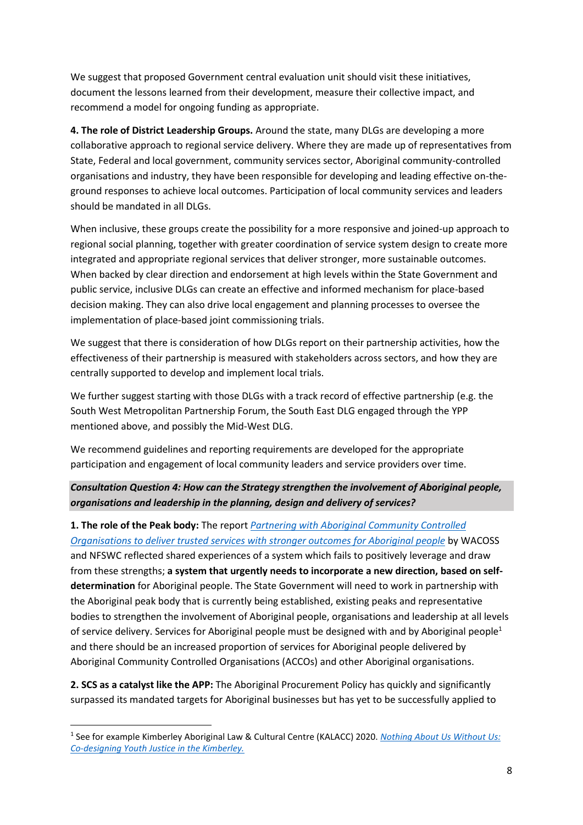We suggest that proposed Government central evaluation unit should visit these initiatives, document the lessons learned from their development, measure their collective impact, and recommend a model for ongoing funding as appropriate.

**4. The role of District Leadership Groups.** Around the state, many DLGs are developing a more collaborative approach to regional service delivery. Where they are made up of representatives from State, Federal and local government, community services sector, Aboriginal community-controlled organisations and industry, they have been responsible for developing and leading effective on-theground responses to achieve local outcomes. Participation of local community services and leaders should be mandated in all DLGs.

When inclusive, these groups create the possibility for a more responsive and joined-up approach to regional social planning, together with greater coordination of service system design to create more integrated and appropriate regional services that deliver stronger, more sustainable outcomes. When backed by clear direction and endorsement at high levels within the State Government and public service, inclusive DLGs can create an effective and informed mechanism for place-based decision making. They can also drive local engagement and planning processes to oversee the implementation of place-based joint commissioning trials.

We suggest that there is consideration of how DLGs report on their partnership activities, how the effectiveness of their partnership is measured with stakeholders across sectors, and how they are centrally supported to develop and implement local trials.

We further suggest starting with those DLGs with a track record of effective partnership (e.g. the South West Metropolitan Partnership Forum, the South East DLG engaged through the YPP mentioned above, and possibly the Mid-West DLG.

We recommend guidelines and reporting requirements are developed for the appropriate participation and engagement of local community leaders and service providers over time.

## *Consultation Question 4: How can the Strategy strengthen the involvement of Aboriginal people, organisations and leadership in the planning, design and delivery of services?*

**1. The role of the Peak body:** The report *[Partnering with Aboriginal Community Controlled](https://www.google.com.au/url?sa=t&rct=j&q=&esrc=s&source=web&cd=&cad=rja&uact=8&ved=2ahUKEwjW3K3V7uHyAhWPWX0KHUzrDVgQFnoECAIQAQ&url=https%3A%2F%2Fwacoss.org.au%2Fwp-content%2Fuploads%2F2019%2F06%2FPartnering-with-Aboriginal-Community-Controlled-Organisations-to-deliver-trusted-services-with-stronger-outcomes-Report-1.pdf&usg=AOvVaw1qe0NZTfstazfbnnG9-j--)  [Organisations to deliver trusted services with stronger outcomes for Aboriginal people](https://www.google.com.au/url?sa=t&rct=j&q=&esrc=s&source=web&cd=&cad=rja&uact=8&ved=2ahUKEwjW3K3V7uHyAhWPWX0KHUzrDVgQFnoECAIQAQ&url=https%3A%2F%2Fwacoss.org.au%2Fwp-content%2Fuploads%2F2019%2F06%2FPartnering-with-Aboriginal-Community-Controlled-Organisations-to-deliver-trusted-services-with-stronger-outcomes-Report-1.pdf&usg=AOvVaw1qe0NZTfstazfbnnG9-j--)* by WACOSS and NFSWC reflected shared experiences of a system which fails to positively leverage and draw from these strengths; **a system that urgently needs to incorporate a new direction, based on selfdetermination** for Aboriginal people. The State Government will need to work in partnership with the Aboriginal peak body that is currently being established, existing peaks and representative bodies to strengthen the involvement of Aboriginal people, organisations and leadership at all levels of service delivery. Services for Aboriginal people must be designed with and by Aboriginal people<sup>1</sup> and there should be an increased proportion of services for Aboriginal people delivered by Aboriginal Community Controlled Organisations (ACCOs) and other Aboriginal organisations.

**2. SCS as a catalyst like the APP:** The Aboriginal Procurement Policy has quickly and significantly surpassed its mandated targets for Aboriginal businesses but has yet to be successfully applied to

**.** 

<sup>1</sup> See for example Kimberley Aboriginal Law & Cultural Centre (KALACC) 2020. *[Nothing About Us Without Us:](https://www.thecentrehki.com.au/wp-content/uploads/2021/05/2020.12.09-KALACC-Co-Designing-Youth-Outcomes-in-the-Kimberley-FINAL-2.pdf)  [Co-designing Youth Justice in the Kimberley.](https://www.thecentrehki.com.au/wp-content/uploads/2021/05/2020.12.09-KALACC-Co-Designing-Youth-Outcomes-in-the-Kimberley-FINAL-2.pdf)*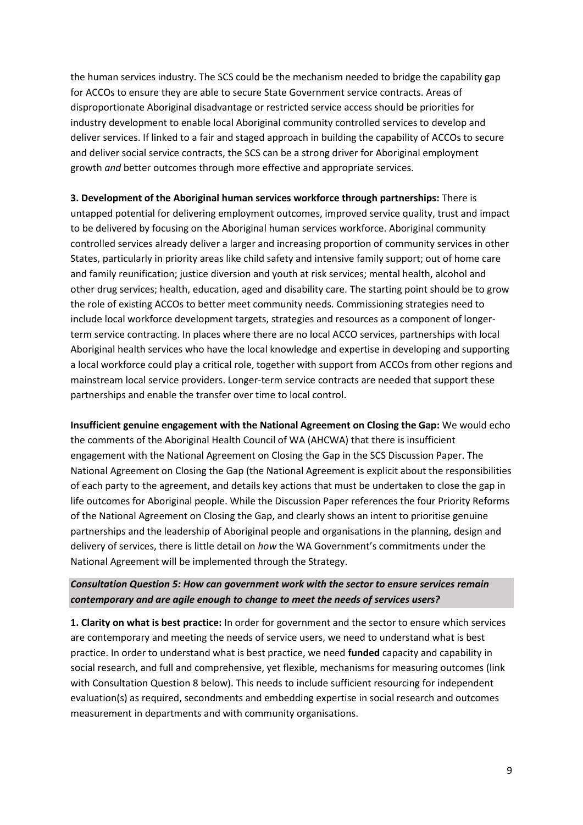the human services industry. The SCS could be the mechanism needed to bridge the capability gap for ACCOs to ensure they are able to secure State Government service contracts. Areas of disproportionate Aboriginal disadvantage or restricted service access should be priorities for industry development to enable local Aboriginal community controlled services to develop and deliver services. If linked to a fair and staged approach in building the capability of ACCOs to secure and deliver social service contracts, the SCS can be a strong driver for Aboriginal employment growth *and* better outcomes through more effective and appropriate services.

**3. Development of the Aboriginal human services workforce through partnerships:** There is untapped potential for delivering employment outcomes, improved service quality, trust and impact to be delivered by focusing on the Aboriginal human services workforce. Aboriginal community controlled services already deliver a larger and increasing proportion of community services in other States, particularly in priority areas like child safety and intensive family support; out of home care and family reunification; justice diversion and youth at risk services; mental health, alcohol and other drug services; health, education, aged and disability care. The starting point should be to grow the role of existing ACCOs to better meet community needs. Commissioning strategies need to include local workforce development targets, strategies and resources as a component of longerterm service contracting. In places where there are no local ACCO services, partnerships with local Aboriginal health services who have the local knowledge and expertise in developing and supporting a local workforce could play a critical role, together with support from ACCOs from other regions and mainstream local service providers. Longer-term service contracts are needed that support these partnerships and enable the transfer over time to local control.

**Insufficient genuine engagement with the National Agreement on Closing the Gap:** We would echo the comments of the Aboriginal Health Council of WA (AHCWA) that there is insufficient engagement with the National Agreement on Closing the Gap in the SCS Discussion Paper. The National Agreement on Closing the Gap (the National Agreement is explicit about the responsibilities of each party to the agreement, and details key actions that must be undertaken to close the gap in life outcomes for Aboriginal people. While the Discussion Paper references the four Priority Reforms of the National Agreement on Closing the Gap, and clearly shows an intent to prioritise genuine partnerships and the leadership of Aboriginal people and organisations in the planning, design and delivery of services, there is little detail on *how* the WA Government's commitments under the National Agreement will be implemented through the Strategy.

## *Consultation Question 5: How can government work with the sector to ensure services remain contemporary and are agile enough to change to meet the needs of services users?*

**1. Clarity on what is best practice:** In order for government and the sector to ensure which services are contemporary and meeting the needs of service users, we need to understand what is best practice. In order to understand what is best practice, we need **funded** capacity and capability in social research, and full and comprehensive, yet flexible, mechanisms for measuring outcomes (link with Consultation Question 8 below). This needs to include sufficient resourcing for independent evaluation(s) as required, secondments and embedding expertise in social research and outcomes measurement in departments and with community organisations.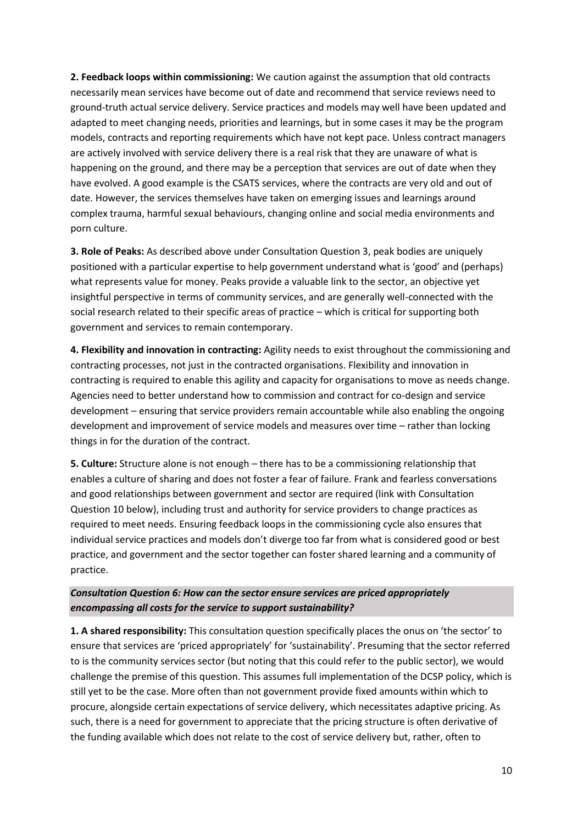**2. Feedback loops within commissioning:** We caution against the assumption that old contracts necessarily mean services have become out of date and recommend that service reviews need to ground-truth actual service delivery. Service practices and models may well have been updated and adapted to meet changing needs, priorities and learnings, but in some cases it may be the program models, contracts and reporting requirements which have not kept pace. Unless contract managers are actively involved with service delivery there is a real risk that they are unaware of what is happening on the ground, and there may be a perception that services are out of date when they have evolved. A good example is the CSATS services, where the contracts are very old and out of date. However, the services themselves have taken on emerging issues and learnings around complex trauma, harmful sexual behaviours, changing online and social media environments and porn culture.

**3. Role of Peaks:** As described above under Consultation Question 3, peak bodies are uniquely positioned with a particular expertise to help government understand what is 'good' and (perhaps) what represents value for money. Peaks provide a valuable link to the sector, an objective yet insightful perspective in terms of community services, and are generally well-connected with the social research related to their specific areas of practice – which is critical for supporting both government and services to remain contemporary.

**4. Flexibility and innovation in contracting:** Agility needs to exist throughout the commissioning and contracting processes, not just in the contracted organisations. Flexibility and innovation in contracting is required to enable this agility and capacity for organisations to move as needs change. Agencies need to better understand how to commission and contract for co-design and service development – ensuring that service providers remain accountable while also enabling the ongoing development and improvement of service models and measures over time – rather than locking things in for the duration of the contract.

**5. Culture:** Structure alone is not enough – there has to be a commissioning relationship that enables a culture of sharing and does not foster a fear of failure. Frank and fearless conversations and good relationships between government and sector are required (link with Consultation Question 10 below), including trust and authority for service providers to change practices as required to meet needs. Ensuring feedback loops in the commissioning cycle also ensures that individual service practices and models don't diverge too far from what is considered good or best practice, and government and the sector together can foster shared learning and a community of practice.

*Consultation Question 6: How can the sector ensure services are priced appropriately encompassing all costs for the service to support sustainability?*

**1. A shared responsibility:** This consultation question specifically places the onus on 'the sector' to ensure that services are 'priced appropriately' for 'sustainability'. Presuming that the sector referred to is the community services sector (but noting that this could refer to the public sector), we would challenge the premise of this question. This assumes full implementation of the DCSP policy, which is still yet to be the case. More often than not government provide fixed amounts within which to procure, alongside certain expectations of service delivery, which necessitates adaptive pricing. As such, there is a need for government to appreciate that the pricing structure is often derivative of the funding available which does not relate to the cost of service delivery but, rather, often to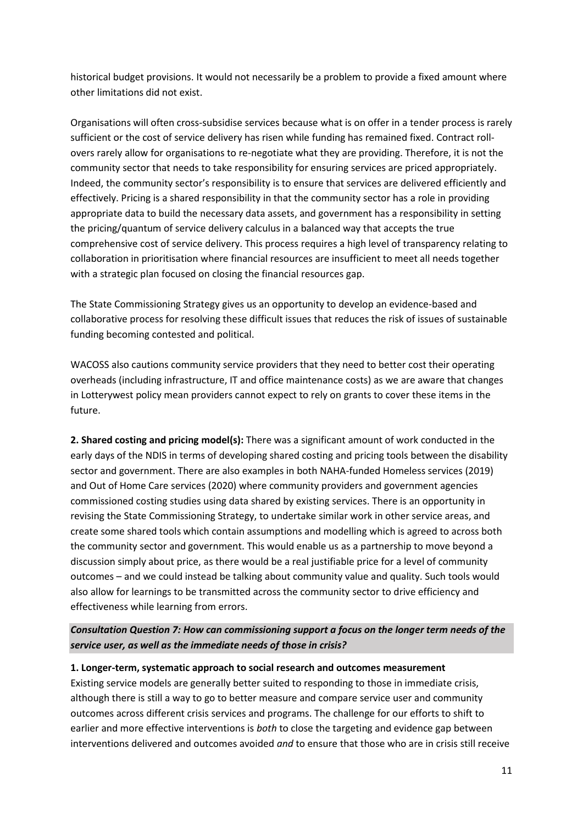historical budget provisions. It would not necessarily be a problem to provide a fixed amount where other limitations did not exist.

Organisations will often cross-subsidise services because what is on offer in a tender process is rarely sufficient or the cost of service delivery has risen while funding has remained fixed. Contract rollovers rarely allow for organisations to re-negotiate what they are providing. Therefore, it is not the community sector that needs to take responsibility for ensuring services are priced appropriately. Indeed, the community sector's responsibility is to ensure that services are delivered efficiently and effectively. Pricing is a shared responsibility in that the community sector has a role in providing appropriate data to build the necessary data assets, and government has a responsibility in setting the pricing/quantum of service delivery calculus in a balanced way that accepts the true comprehensive cost of service delivery. This process requires a high level of transparency relating to collaboration in prioritisation where financial resources are insufficient to meet all needs together with a strategic plan focused on closing the financial resources gap.

The State Commissioning Strategy gives us an opportunity to develop an evidence-based and collaborative process for resolving these difficult issues that reduces the risk of issues of sustainable funding becoming contested and political.

WACOSS also cautions community service providers that they need to better cost their operating overheads (including infrastructure, IT and office maintenance costs) as we are aware that changes in Lotterywest policy mean providers cannot expect to rely on grants to cover these items in the future.

**2. Shared costing and pricing model(s):** There was a significant amount of work conducted in the early days of the NDIS in terms of developing shared costing and pricing tools between the disability sector and government. There are also examples in both NAHA-funded Homeless services (2019) and Out of Home Care services (2020) where community providers and government agencies commissioned costing studies using data shared by existing services. There is an opportunity in revising the State Commissioning Strategy, to undertake similar work in other service areas, and create some shared tools which contain assumptions and modelling which is agreed to across both the community sector and government. This would enable us as a partnership to move beyond a discussion simply about price, as there would be a real justifiable price for a level of community outcomes – and we could instead be talking about community value and quality. Such tools would also allow for learnings to be transmitted across the community sector to drive efficiency and effectiveness while learning from errors.

*Consultation Question 7: How can commissioning support a focus on the longer term needs of the service user, as well as the immediate needs of those in crisis?*

### **1. Longer-term, systematic approach to social research and outcomes measurement**

Existing service models are generally better suited to responding to those in immediate crisis, although there is still a way to go to better measure and compare service user and community outcomes across different crisis services and programs. The challenge for our efforts to shift to earlier and more effective interventions is *both* to close the targeting and evidence gap between interventions delivered and outcomes avoided *and* to ensure that those who are in crisis still receive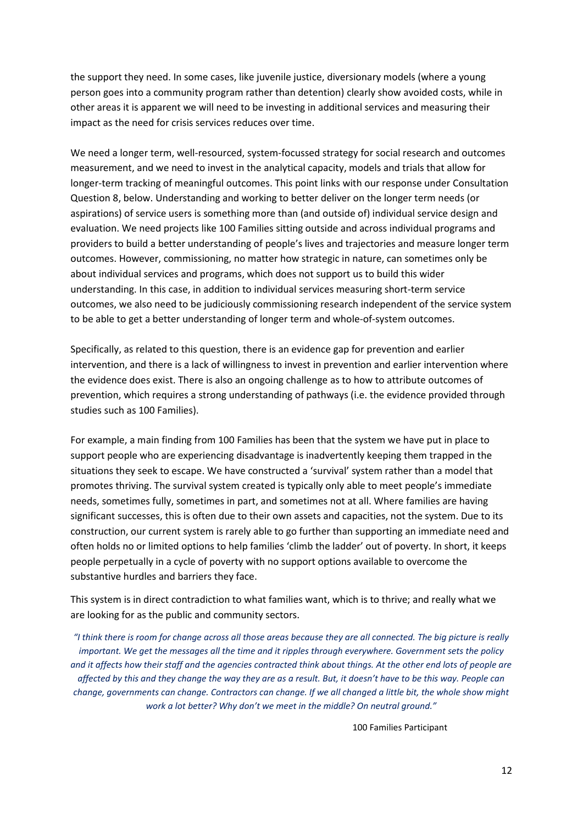the support they need. In some cases, like juvenile justice, diversionary models (where a young person goes into a community program rather than detention) clearly show avoided costs, while in other areas it is apparent we will need to be investing in additional services and measuring their impact as the need for crisis services reduces over time.

We need a longer term, well-resourced, system-focussed strategy for social research and outcomes measurement, and we need to invest in the analytical capacity, models and trials that allow for longer-term tracking of meaningful outcomes. This point links with our response under Consultation Question 8, below. Understanding and working to better deliver on the longer term needs (or aspirations) of service users is something more than (and outside of) individual service design and evaluation. We need projects like 100 Families sitting outside and across individual programs and providers to build a better understanding of people's lives and trajectories and measure longer term outcomes. However, commissioning, no matter how strategic in nature, can sometimes only be about individual services and programs, which does not support us to build this wider understanding. In this case, in addition to individual services measuring short-term service outcomes, we also need to be judiciously commissioning research independent of the service system to be able to get a better understanding of longer term and whole-of-system outcomes.

Specifically, as related to this question, there is an evidence gap for prevention and earlier intervention, and there is a lack of willingness to invest in prevention and earlier intervention where the evidence does exist. There is also an ongoing challenge as to how to attribute outcomes of prevention, which requires a strong understanding of pathways (i.e. the evidence provided through studies such as 100 Families).

For example, a main finding from 100 Families has been that the system we have put in place to support people who are experiencing disadvantage is inadvertently keeping them trapped in the situations they seek to escape. We have constructed a 'survival' system rather than a model that promotes thriving. The survival system created is typically only able to meet people's immediate needs, sometimes fully, sometimes in part, and sometimes not at all. Where families are having significant successes, this is often due to their own assets and capacities, not the system. Due to its construction, our current system is rarely able to go further than supporting an immediate need and often holds no or limited options to help families 'climb the ladder' out of poverty. In short, it keeps people perpetually in a cycle of poverty with no support options available to overcome the substantive hurdles and barriers they face.

This system is in direct contradiction to what families want, which is to thrive; and really what we are looking for as the public and community sectors.

*"I think there is room for change across all those areas because they are all connected. The big picture is really important. We get the messages all the time and it ripples through everywhere. Government sets the policy and it affects how their staff and the agencies contracted think about things. At the other end lots of people are affected by this and they change the way they are as a result. But, it doesn't have to be this way. People can change, governments can change. Contractors can change. If we all changed a little bit, the whole show might work a lot better? Why don't we meet in the middle? On neutral ground."*

100 Families Participant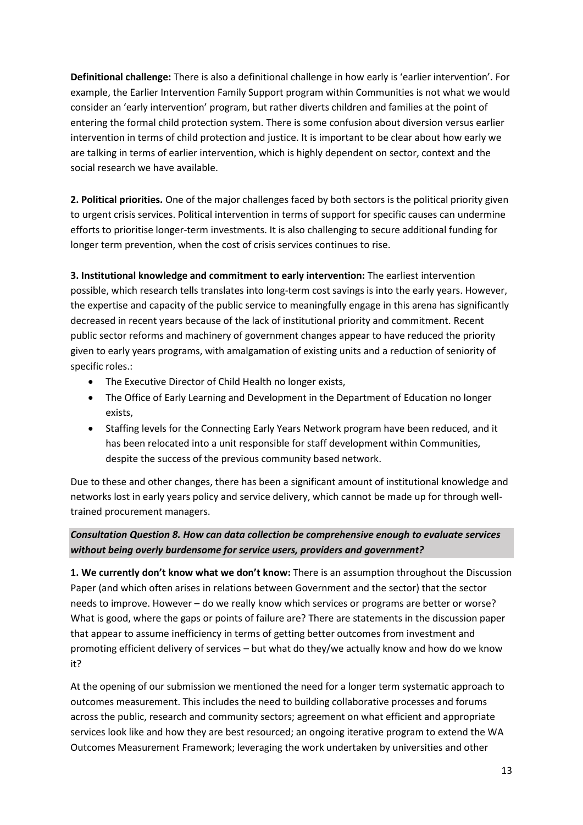**Definitional challenge:** There is also a definitional challenge in how early is 'earlier intervention'. For example, the Earlier Intervention Family Support program within Communities is not what we would consider an 'early intervention' program, but rather diverts children and families at the point of entering the formal child protection system. There is some confusion about diversion versus earlier intervention in terms of child protection and justice. It is important to be clear about how early we are talking in terms of earlier intervention, which is highly dependent on sector, context and the social research we have available.

**2. Political priorities.** One of the major challenges faced by both sectors is the political priority given to urgent crisis services. Political intervention in terms of support for specific causes can undermine efforts to prioritise longer-term investments. It is also challenging to secure additional funding for longer term prevention, when the cost of crisis services continues to rise.

**3. Institutional knowledge and commitment to early intervention:** The earliest intervention possible, which research tells translates into long-term cost savings is into the early years. However, the expertise and capacity of the public service to meaningfully engage in this arena has significantly decreased in recent years because of the lack of institutional priority and commitment. Recent public sector reforms and machinery of government changes appear to have reduced the priority given to early years programs, with amalgamation of existing units and a reduction of seniority of specific roles.:

- The Executive Director of Child Health no longer exists,
- The Office of Early Learning and Development in the Department of Education no longer exists,
- Staffing levels for the Connecting Early Years Network program have been reduced, and it has been relocated into a unit responsible for staff development within Communities, despite the success of the previous community based network.

Due to these and other changes, there has been a significant amount of institutional knowledge and networks lost in early years policy and service delivery, which cannot be made up for through welltrained procurement managers.

## *Consultation Question 8. How can data collection be comprehensive enough to evaluate services without being overly burdensome for service users, providers and government?*

**1. We currently don't know what we don't know:** There is an assumption throughout the Discussion Paper (and which often arises in relations between Government and the sector) that the sector needs to improve. However – do we really know which services or programs are better or worse? What is good, where the gaps or points of failure are? There are statements in the discussion paper that appear to assume inefficiency in terms of getting better outcomes from investment and promoting efficient delivery of services – but what do they/we actually know and how do we know it?

At the opening of our submission we mentioned the need for a longer term systematic approach to outcomes measurement. This includes the need to building collaborative processes and forums across the public, research and community sectors; agreement on what efficient and appropriate services look like and how they are best resourced; an ongoing iterative program to extend the WA Outcomes Measurement Framework; leveraging the work undertaken by universities and other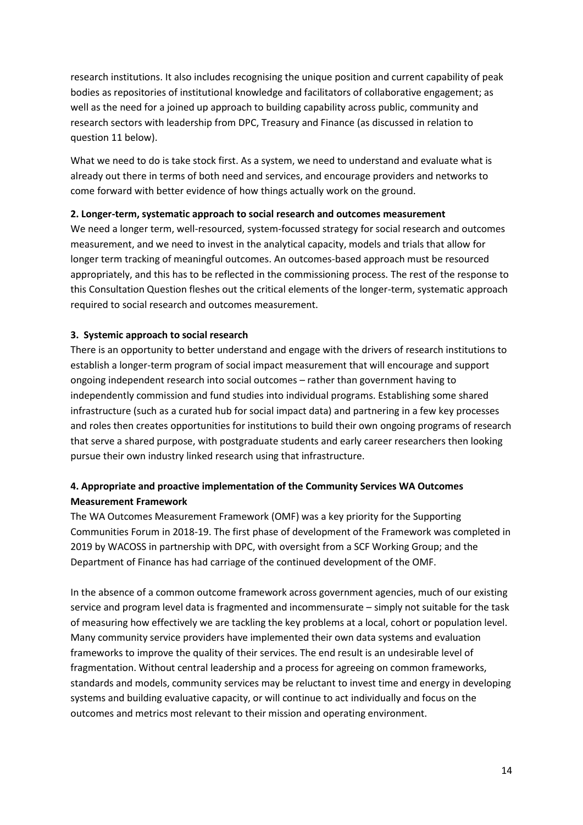research institutions. It also includes recognising the unique position and current capability of peak bodies as repositories of institutional knowledge and facilitators of collaborative engagement; as well as the need for a joined up approach to building capability across public, community and research sectors with leadership from DPC, Treasury and Finance (as discussed in relation to question 11 below).

What we need to do is take stock first. As a system, we need to understand and evaluate what is already out there in terms of both need and services, and encourage providers and networks to come forward with better evidence of how things actually work on the ground.

### **2. Longer-term, systematic approach to social research and outcomes measurement**

We need a longer term, well-resourced, system-focussed strategy for social research and outcomes measurement, and we need to invest in the analytical capacity, models and trials that allow for longer term tracking of meaningful outcomes. An outcomes-based approach must be resourced appropriately, and this has to be reflected in the commissioning process. The rest of the response to this Consultation Question fleshes out the critical elements of the longer-term, systematic approach required to social research and outcomes measurement.

### **3. Systemic approach to social research**

There is an opportunity to better understand and engage with the drivers of research institutions to establish a longer-term program of social impact measurement that will encourage and support ongoing independent research into social outcomes – rather than government having to independently commission and fund studies into individual programs. Establishing some shared infrastructure (such as a curated hub for social impact data) and partnering in a few key processes and roles then creates opportunities for institutions to build their own ongoing programs of research that serve a shared purpose, with postgraduate students and early career researchers then looking pursue their own industry linked research using that infrastructure.

## **4. Appropriate and proactive implementation of the Community Services WA Outcomes Measurement Framework**

The WA Outcomes Measurement Framework (OMF) was a key priority for the Supporting Communities Forum in 2018-19. The first phase of development of the Framework was completed in 2019 by WACOSS in partnership with DPC, with oversight from a SCF Working Group; and the Department of Finance has had carriage of the continued development of the OMF.

In the absence of a common outcome framework across government agencies, much of our existing service and program level data is fragmented and incommensurate – simply not suitable for the task of measuring how effectively we are tackling the key problems at a local, cohort or population level. Many community service providers have implemented their own data systems and evaluation frameworks to improve the quality of their services. The end result is an undesirable level of fragmentation. Without central leadership and a process for agreeing on common frameworks, standards and models, community services may be reluctant to invest time and energy in developing systems and building evaluative capacity, or will continue to act individually and focus on the outcomes and metrics most relevant to their mission and operating environment.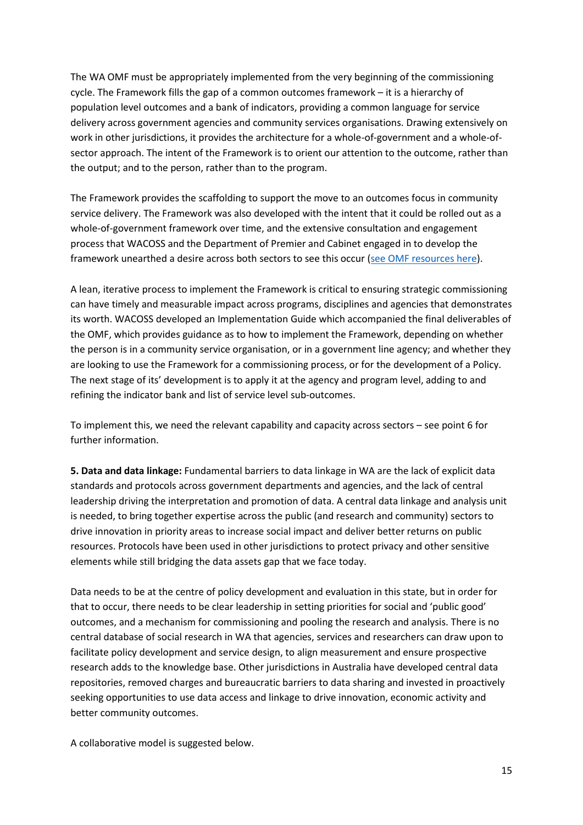The WA OMF must be appropriately implemented from the very beginning of the commissioning cycle. The Framework fills the gap of a common outcomes framework – it is a hierarchy of population level outcomes and a bank of indicators, providing a common language for service delivery across government agencies and community services organisations. Drawing extensively on work in other jurisdictions, it provides the architecture for a whole-of-government and a whole-ofsector approach. The intent of the Framework is to orient our attention to the outcome, rather than the output; and to the person, rather than to the program.

The Framework provides the scaffolding to support the move to an outcomes focus in community service delivery. The Framework was also developed with the intent that it could be rolled out as a whole-of-government framework over time, and the extensive consultation and engagement process that WACOSS and the Department of Premier and Cabinet engaged in to develop the framework unearthed a desire across both sectors to see this occur [\(see OMF resources](https://www.wa.gov.au/government/publications/supporting-communities-forum-outcomes-framework-working-group-documents) here).

A lean, iterative process to implement the Framework is critical to ensuring strategic commissioning can have timely and measurable impact across programs, disciplines and agencies that demonstrates its worth. WACOSS developed an Implementation Guide which accompanied the final deliverables of the OMF, which provides guidance as to how to implement the Framework, depending on whether the person is in a community service organisation, or in a government line agency; and whether they are looking to use the Framework for a commissioning process, or for the development of a Policy. The next stage of its' development is to apply it at the agency and program level, adding to and refining the indicator bank and list of service level sub-outcomes.

To implement this, we need the relevant capability and capacity across sectors – see point 6 for further information.

**5. Data and data linkage:** Fundamental barriers to data linkage in WA are the lack of explicit data standards and protocols across government departments and agencies, and the lack of central leadership driving the interpretation and promotion of data. A central data linkage and analysis unit is needed, to bring together expertise across the public (and research and community) sectors to drive innovation in priority areas to increase social impact and deliver better returns on public resources. Protocols have been used in other jurisdictions to protect privacy and other sensitive elements while still bridging the data assets gap that we face today.

Data needs to be at the centre of policy development and evaluation in this state, but in order for that to occur, there needs to be clear leadership in setting priorities for social and 'public good' outcomes, and a mechanism for commissioning and pooling the research and analysis. There is no central database of social research in WA that agencies, services and researchers can draw upon to facilitate policy development and service design, to align measurement and ensure prospective research adds to the knowledge base. Other jurisdictions in Australia have developed central data repositories, removed charges and bureaucratic barriers to data sharing and invested in proactively seeking opportunities to use data access and linkage to drive innovation, economic activity and better community outcomes.

A collaborative model is suggested below.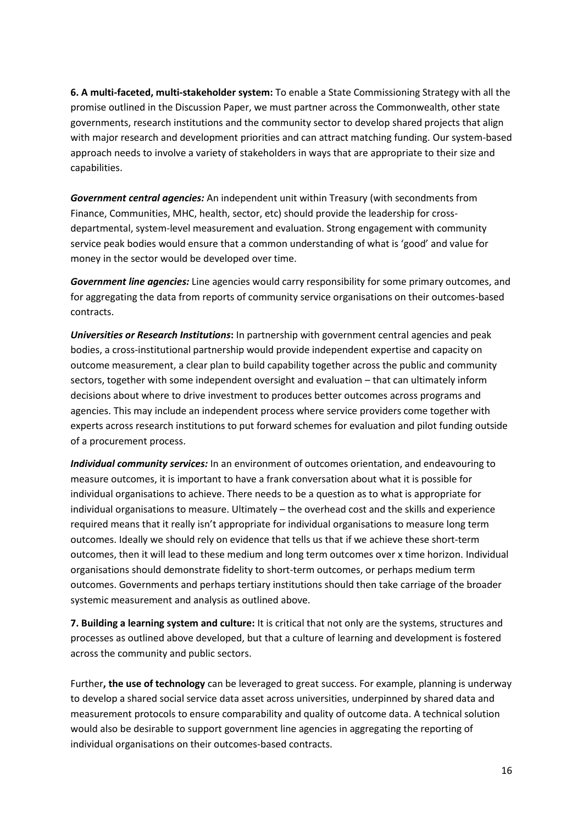**6. A multi-faceted, multi-stakeholder system:** To enable a State Commissioning Strategy with all the promise outlined in the Discussion Paper, we must partner across the Commonwealth, other state governments, research institutions and the community sector to develop shared projects that align with major research and development priorities and can attract matching funding. Our system-based approach needs to involve a variety of stakeholders in ways that are appropriate to their size and capabilities.

*Government central agencies:* An independent unit within Treasury (with secondments from Finance, Communities, MHC, health, sector, etc) should provide the leadership for crossdepartmental, system-level measurement and evaluation. Strong engagement with community service peak bodies would ensure that a common understanding of what is 'good' and value for money in the sector would be developed over time.

*Government line agencies:* Line agencies would carry responsibility for some primary outcomes, and for aggregating the data from reports of community service organisations on their outcomes-based contracts.

*Universities or Research Institutions***:** In partnership with government central agencies and peak bodies, a cross-institutional partnership would provide independent expertise and capacity on outcome measurement, a clear plan to build capability together across the public and community sectors, together with some independent oversight and evaluation – that can ultimately inform decisions about where to drive investment to produces better outcomes across programs and agencies. This may include an independent process where service providers come together with experts across research institutions to put forward schemes for evaluation and pilot funding outside of a procurement process.

*Individual community services:* In an environment of outcomes orientation, and endeavouring to measure outcomes, it is important to have a frank conversation about what it is possible for individual organisations to achieve. There needs to be a question as to what is appropriate for individual organisations to measure. Ultimately – the overhead cost and the skills and experience required means that it really isn't appropriate for individual organisations to measure long term outcomes. Ideally we should rely on evidence that tells us that if we achieve these short-term outcomes, then it will lead to these medium and long term outcomes over x time horizon. Individual organisations should demonstrate fidelity to short-term outcomes, or perhaps medium term outcomes. Governments and perhaps tertiary institutions should then take carriage of the broader systemic measurement and analysis as outlined above.

**7. Building a learning system and culture:** It is critical that not only are the systems, structures and processes as outlined above developed, but that a culture of learning and development is fostered across the community and public sectors.

Further**, the use of technology** can be leveraged to great success. For example, planning is underway to develop a shared social service data asset across universities, underpinned by shared data and measurement protocols to ensure comparability and quality of outcome data. A technical solution would also be desirable to support government line agencies in aggregating the reporting of individual organisations on their outcomes-based contracts.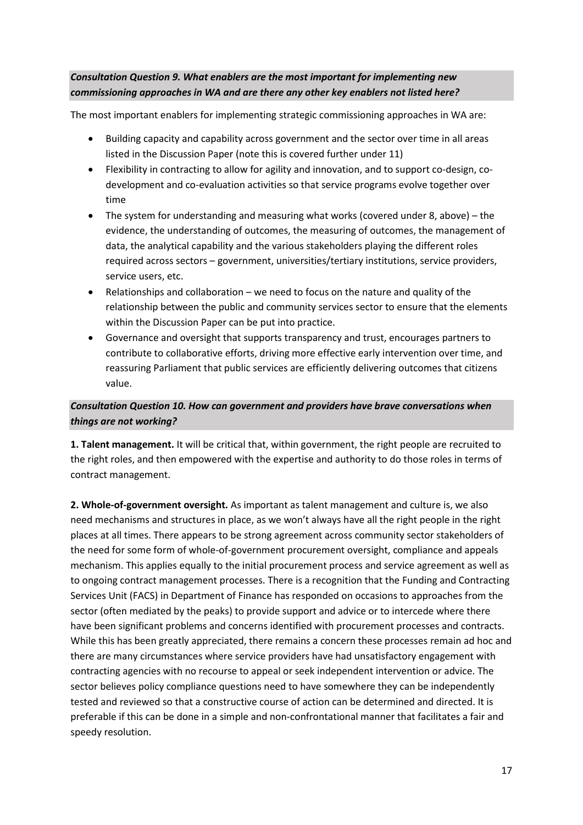## *Consultation Question 9. What enablers are the most important for implementing new commissioning approaches in WA and are there any other key enablers not listed here?*

The most important enablers for implementing strategic commissioning approaches in WA are:

- Building capacity and capability across government and the sector over time in all areas listed in the Discussion Paper (note this is covered further under 11)
- Flexibility in contracting to allow for agility and innovation, and to support co-design, codevelopment and co-evaluation activities so that service programs evolve together over time
- The system for understanding and measuring what works (covered under 8, above) the evidence, the understanding of outcomes, the measuring of outcomes, the management of data, the analytical capability and the various stakeholders playing the different roles required across sectors – government, universities/tertiary institutions, service providers, service users, etc.
- Relationships and collaboration we need to focus on the nature and quality of the relationship between the public and community services sector to ensure that the elements within the Discussion Paper can be put into practice.
- Governance and oversight that supports transparency and trust, encourages partners to contribute to collaborative efforts, driving more effective early intervention over time, and reassuring Parliament that public services are efficiently delivering outcomes that citizens value.

# *Consultation Question 10. How can government and providers have brave conversations when things are not working?*

**1. Talent management.** It will be critical that, within government, the right people are recruited to the right roles, and then empowered with the expertise and authority to do those roles in terms of contract management.

**2. Whole-of-government oversight.** As important as talent management and culture is, we also need mechanisms and structures in place, as we won't always have all the right people in the right places at all times. There appears to be strong agreement across community sector stakeholders of the need for some form of whole-of-government procurement oversight, compliance and appeals mechanism. This applies equally to the initial procurement process and service agreement as well as to ongoing contract management processes. There is a recognition that the Funding and Contracting Services Unit (FACS) in Department of Finance has responded on occasions to approaches from the sector (often mediated by the peaks) to provide support and advice or to intercede where there have been significant problems and concerns identified with procurement processes and contracts. While this has been greatly appreciated, there remains a concern these processes remain ad hoc and there are many circumstances where service providers have had unsatisfactory engagement with contracting agencies with no recourse to appeal or seek independent intervention or advice. The sector believes policy compliance questions need to have somewhere they can be independently tested and reviewed so that a constructive course of action can be determined and directed. It is preferable if this can be done in a simple and non-confrontational manner that facilitates a fair and speedy resolution.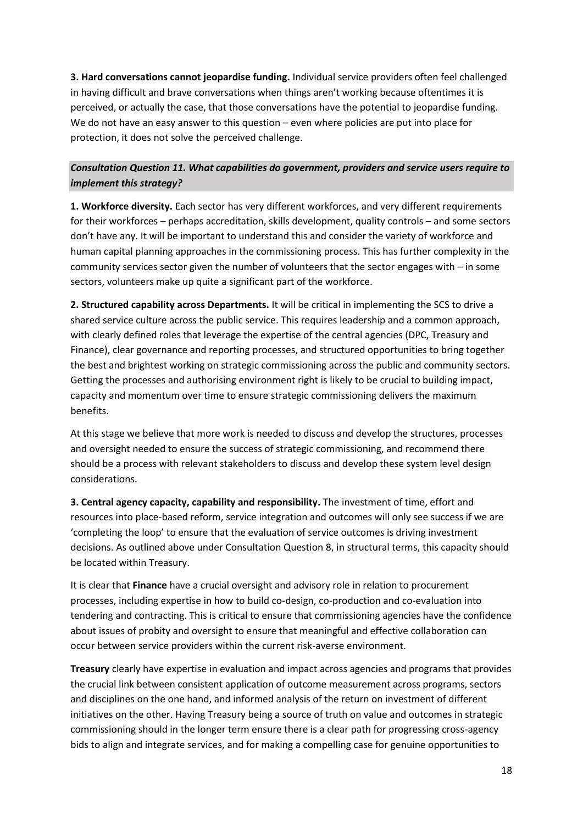**3. Hard conversations cannot jeopardise funding.** Individual service providers often feel challenged in having difficult and brave conversations when things aren't working because oftentimes it is perceived, or actually the case, that those conversations have the potential to jeopardise funding. We do not have an easy answer to this question – even where policies are put into place for protection, it does not solve the perceived challenge.

# *Consultation Question 11. What capabilities do government, providers and service users require to implement this strategy?*

**1. Workforce diversity.** Each sector has very different workforces, and very different requirements for their workforces – perhaps accreditation, skills development, quality controls – and some sectors don't have any. It will be important to understand this and consider the variety of workforce and human capital planning approaches in the commissioning process. This has further complexity in the community services sector given the number of volunteers that the sector engages with – in some sectors, volunteers make up quite a significant part of the workforce.

**2. Structured capability across Departments.** It will be critical in implementing the SCS to drive a shared service culture across the public service. This requires leadership and a common approach, with clearly defined roles that leverage the expertise of the central agencies (DPC, Treasury and Finance), clear governance and reporting processes, and structured opportunities to bring together the best and brightest working on strategic commissioning across the public and community sectors. Getting the processes and authorising environment right is likely to be crucial to building impact, capacity and momentum over time to ensure strategic commissioning delivers the maximum benefits.

At this stage we believe that more work is needed to discuss and develop the structures, processes and oversight needed to ensure the success of strategic commissioning, and recommend there should be a process with relevant stakeholders to discuss and develop these system level design considerations.

**3. Central agency capacity, capability and responsibility.** The investment of time, effort and resources into place-based reform, service integration and outcomes will only see success if we are 'completing the loop' to ensure that the evaluation of service outcomes is driving investment decisions. As outlined above under Consultation Question 8, in structural terms, this capacity should be located within Treasury.

It is clear that **Finance** have a crucial oversight and advisory role in relation to procurement processes, including expertise in how to build co-design, co-production and co-evaluation into tendering and contracting. This is critical to ensure that commissioning agencies have the confidence about issues of probity and oversight to ensure that meaningful and effective collaboration can occur between service providers within the current risk-averse environment.

**Treasury** clearly have expertise in evaluation and impact across agencies and programs that provides the crucial link between consistent application of outcome measurement across programs, sectors and disciplines on the one hand, and informed analysis of the return on investment of different initiatives on the other. Having Treasury being a source of truth on value and outcomes in strategic commissioning should in the longer term ensure there is a clear path for progressing cross-agency bids to align and integrate services, and for making a compelling case for genuine opportunities to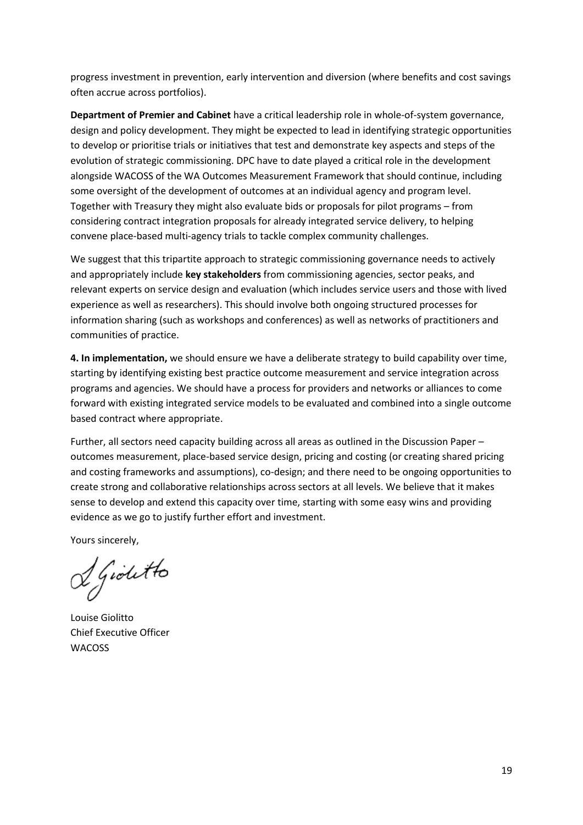progress investment in prevention, early intervention and diversion (where benefits and cost savings often accrue across portfolios).

**Department of Premier and Cabinet** have a critical leadership role in whole-of-system governance, design and policy development. They might be expected to lead in identifying strategic opportunities to develop or prioritise trials or initiatives that test and demonstrate key aspects and steps of the evolution of strategic commissioning. DPC have to date played a critical role in the development alongside WACOSS of the WA Outcomes Measurement Framework that should continue, including some oversight of the development of outcomes at an individual agency and program level. Together with Treasury they might also evaluate bids or proposals for pilot programs – from considering contract integration proposals for already integrated service delivery, to helping convene place-based multi-agency trials to tackle complex community challenges.

We suggest that this tripartite approach to strategic commissioning governance needs to actively and appropriately include **key stakeholders** from commissioning agencies, sector peaks, and relevant experts on service design and evaluation (which includes service users and those with lived experience as well as researchers). This should involve both ongoing structured processes for information sharing (such as workshops and conferences) as well as networks of practitioners and communities of practice.

**4. In implementation,** we should ensure we have a deliberate strategy to build capability over time, starting by identifying existing best practice outcome measurement and service integration across programs and agencies. We should have a process for providers and networks or alliances to come forward with existing integrated service models to be evaluated and combined into a single outcome based contract where appropriate.

Further, all sectors need capacity building across all areas as outlined in the Discussion Paper – outcomes measurement, place-based service design, pricing and costing (or creating shared pricing and costing frameworks and assumptions), co-design; and there need to be ongoing opportunities to create strong and collaborative relationships across sectors at all levels. We believe that it makes sense to develop and extend this capacity over time, starting with some easy wins and providing evidence as we go to justify further effort and investment.

Yours sincerely,

& Gioletto

Louise Giolitto Chief Executive Officer WACOSS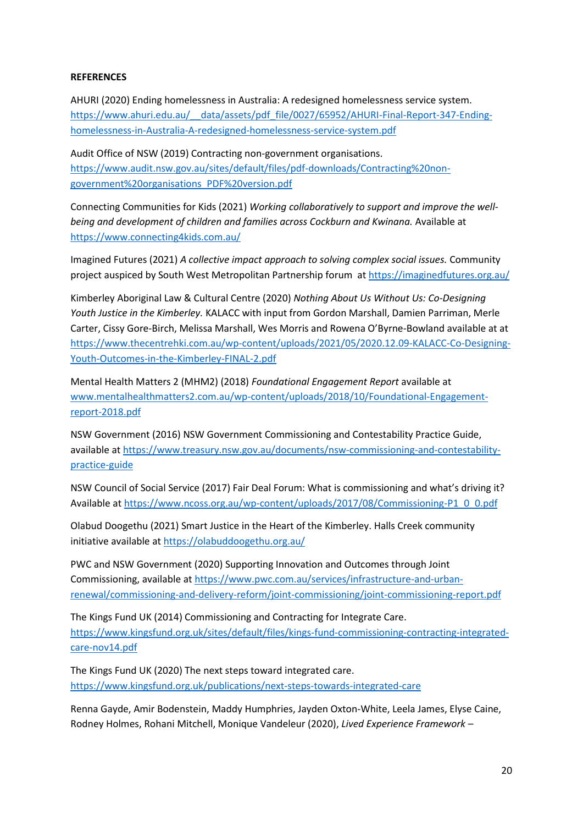### **REFERENCES**

AHURI (2020) Ending homelessness in Australia: A redesigned homelessness service system. [https://www.ahuri.edu.au/\\_\\_data/assets/pdf\\_file/0027/65952/AHURI-Final-Report-347-Ending](https://www.ahuri.edu.au/__data/assets/pdf_file/0027/65952/AHURI-Final-Report-347-Ending-homelessness-in-Australia-A-redesigned-homelessness-service-system.pdf)[homelessness-in-Australia-A-redesigned-homelessness-service-system.pdf](https://www.ahuri.edu.au/__data/assets/pdf_file/0027/65952/AHURI-Final-Report-347-Ending-homelessness-in-Australia-A-redesigned-homelessness-service-system.pdf)

Audit Office of NSW (2019) Contracting non-government organisations. [https://www.audit.nsw.gov.au/sites/default/files/pdf-downloads/Contracting%20non](https://www.audit.nsw.gov.au/sites/default/files/pdf-downloads/Contracting%20non-government%20organisations_PDF%20version.pdf)[government%20organisations\\_PDF%20version.pdf](https://www.audit.nsw.gov.au/sites/default/files/pdf-downloads/Contracting%20non-government%20organisations_PDF%20version.pdf)

Connecting Communities for Kids (2021) *Working collaboratively to support and improve the wellbeing and development of children and families across Cockburn and Kwinana.* Available at <https://www.connecting4kids.com.au/>

Imagined Futures (2021) *A collective impact approach to solving complex social issues.* Community project auspiced by South West Metropolitan Partnership forum a[t https://imaginedfutures.org.au/](https://imaginedfutures.org.au/)

Kimberley Aboriginal Law & Cultural Centre (2020) *Nothing About Us Without Us: Co-Designing Youth Justice in the Kimberley.* KALACC with input from Gordon Marshall, Damien Parriman, Merle Carter, Cissy Gore-Birch, Melissa Marshall, Wes Morris and Rowena O'Byrne-Bowland available at at [https://www.thecentrehki.com.au/wp-content/uploads/2021/05/2020.12.09-KALACC-Co-Designing-](https://www.thecentrehki.com.au/wp-content/uploads/2021/05/2020.12.09-KALACC-Co-Designing-Youth-Outcomes-in-the-Kimberley-FINAL-2.pdf)[Youth-Outcomes-in-the-Kimberley-FINAL-2.pdf](https://www.thecentrehki.com.au/wp-content/uploads/2021/05/2020.12.09-KALACC-Co-Designing-Youth-Outcomes-in-the-Kimberley-FINAL-2.pdf)

Mental Health Matters 2 (MHM2) (2018) *Foundational Engagement Report* available at [www.mentalhealthmatters2.com.au/wp-content/uploads/2018/10/Foundational-Engagement](http://www.mentalhealthmatters2.com.au/wp-content/uploads/2018/10/Foundational-Engagement-report-2018.pdf)[report-2018.pdf](http://www.mentalhealthmatters2.com.au/wp-content/uploads/2018/10/Foundational-Engagement-report-2018.pdf)

NSW Government (2016) NSW Government Commissioning and Contestability Practice Guide, available a[t https://www.treasury.nsw.gov.au/documents/nsw-commissioning-and-contestability](https://www.treasury.nsw.gov.au/documents/nsw-commissioning-and-contestability-practice-guide)[practice-guide](https://www.treasury.nsw.gov.au/documents/nsw-commissioning-and-contestability-practice-guide)

NSW Council of Social Service (2017) Fair Deal Forum: What is commissioning and what's driving it? Available a[t https://www.ncoss.org.au/wp-content/uploads/2017/08/Commissioning-P1\\_0\\_0.pdf](https://www.ncoss.org.au/wp-content/uploads/2017/08/Commissioning-P1_0_0.pdf)

Olabud Doogethu (2021) Smart Justice in the Heart of the Kimberley. Halls Creek community initiative available at<https://olabuddoogethu.org.au/>

PWC and NSW Government (2020) Supporting Innovation and Outcomes through Joint Commissioning, available a[t https://www.pwc.com.au/services/infrastructure-and-urban](https://www.pwc.com.au/services/infrastructure-and-urban-renewal/commissioning-and-delivery-reform/joint-commissioning/joint-commissioning-report.pdf)[renewal/commissioning-and-delivery-reform/joint-commissioning/joint-commissioning-report.pdf](https://www.pwc.com.au/services/infrastructure-and-urban-renewal/commissioning-and-delivery-reform/joint-commissioning/joint-commissioning-report.pdf)

The Kings Fund UK (2014) Commissioning and Contracting for Integrate Care. [https://www.kingsfund.org.uk/sites/default/files/kings-fund-commissioning-contracting-integrated](https://www.kingsfund.org.uk/sites/default/files/kings-fund-commissioning-contracting-integrated-care-nov14.pdf)[care-nov14.pdf](https://www.kingsfund.org.uk/sites/default/files/kings-fund-commissioning-contracting-integrated-care-nov14.pdf) 

The Kings Fund UK (2020) The next steps toward integrated care. <https://www.kingsfund.org.uk/publications/next-steps-towards-integrated-care>

Renna Gayde, Amir Bodenstein, Maddy Humphries, Jayden Oxton-White, Leela James, Elyse Caine, Rodney Holmes, Rohani Mitchell, Monique Vandeleur (2020), *Lived Experience Framework –*